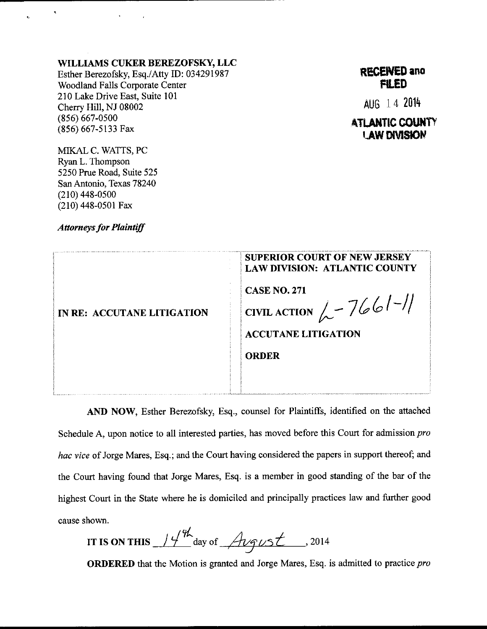## WILLIAMS CUKER BEREZOFSKY, LLC

Esther Berezofsky, Esq./Atty ID: 034291987 **Woodland Falls Corporate Center** 210 Lake Drive East, Suite 101 Cherry Hill, NJ 08002  $(856) 667 - 0500$ (856) 667-5133 Fax

**RECENED and FILED** 

AUG 14 2014

## **ATLANTIC COUNTY LAW DIVISION**

MIKAL C. WATTS, PC Ryan L. Thompson 5250 Prue Road, Suite 525 San Antonio, Texas 78240  $(210)$  448-0500  $(210)$  448-0501 Fax

**Attorneys for Plaintiff** 

| <b>SUPERIOR COURT OF NEW JERSEY</b><br><b>LAW DIVISION: ATLANTIC COUNTY</b> |
|-----------------------------------------------------------------------------|
| <b>CASE NO. 271</b>                                                         |
| EIVILACTION $\sim$ 7661-11                                                  |
| <b>ACCUTANE LITIGATION</b>                                                  |
| <b>ORDER</b>                                                                |
|                                                                             |
|                                                                             |

AND NOW, Esther Berezofsky, Esq., counsel for Plaintiffs, identified on the attached Schedule A, upon notice to all interested parties, has moved before this Court for admission pro hac vice of Jorge Mares, Esq.; and the Court having considered the papers in support thereof; and the Court having found that Jorge Mares, Esq. is a member in good standing of the bar of the highest Court in the State where he is domiciled and principally practices law and further good cause shown.

IT IS ON THIS  $14^{\frac{4}{10}}$  day of  $\text{Argust}$ , 2014

ORDERED that the Motion is granted and Jorge Mares, Esq. is admitted to practice pro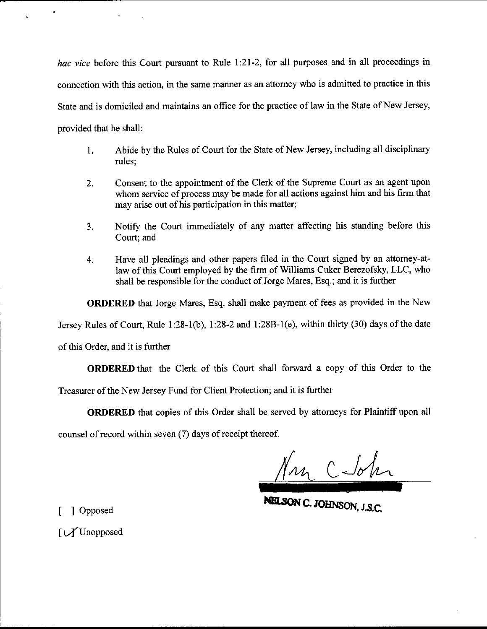hac vice before this Court pursuant to Rule 1:21-2, for all purposes and in all proceedings in connection with this action, in the same manner as an attomey who is admitted to practice in this State and is domiciled and maintains an office for the practice of law in the State of New Jersey provided that he shall:

- 1. Abide by the Rules of Court for the State of New Jersey, including all disciplinary rules;
- 2. Consent to the appointment of the Clerk of the Supreme Court as an agent upon whom service of process may be made for all actions against him and his firm that may arise out of his participation in this matter;
- 3. Notiry the Court immediately of any matter aflecting his standing before this Court; and
- 4. Have all pleadings and other papers filed in the Court signed by an attomey-atlaw of this Court employed by the firm of Williams Cuker Berezofsky, LLC, who shall be responsible for the conduct of Jorge Mares, Esq.; and it is further

ORDERED that Jorge Mares, Esq. shall make payment of fees as provided in the New

Jersey Rules of Court, Rule 1:28-1(b), 1:28-2 and 1:28B-1(e), within thirty (30) days of the date

of this Order, and it is further

ORDERED that the Clerk of this Court shall forward a copy of this Order to the

Treasurer of the New Jersey Fund for Client Protection; and it is further

ORDERED that copies of this Order shall be served by attomeys for Plaintiff upon all

counsel of record within seven (7) days of receipt thereof.

Non C John

[ ] Opposed

 $\mathcal{U}$ Unopposed